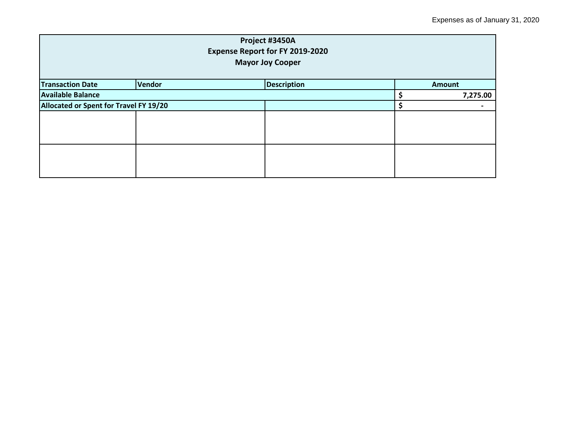| Project #3450A<br><b>Expense Report for FY 2019-2020</b><br><b>Mayor Joy Cooper</b> |        |                    |  |               |  |
|-------------------------------------------------------------------------------------|--------|--------------------|--|---------------|--|
| <b>Transaction Date</b>                                                             | Vendor | <b>Description</b> |  | <b>Amount</b> |  |
| <b>Available Balance</b>                                                            |        |                    |  | 7,275.00      |  |
| Allocated or Spent for Travel FY 19/20                                              |        |                    |  | -             |  |
|                                                                                     |        |                    |  |               |  |
|                                                                                     |        |                    |  |               |  |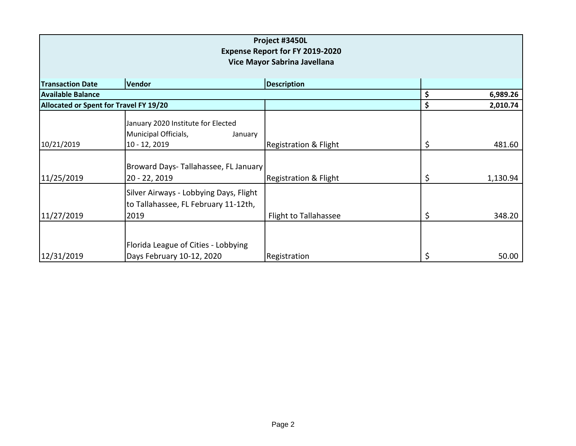| Project #3450L<br><b>Expense Report for FY 2019-2020</b><br>Vice Mayor Sabrina Javellana |                                                                                        |                                  |    |          |  |
|------------------------------------------------------------------------------------------|----------------------------------------------------------------------------------------|----------------------------------|----|----------|--|
| <b>Transaction Date</b>                                                                  | Vendor                                                                                 | <b>Description</b>               |    |          |  |
| <b>Available Balance</b>                                                                 |                                                                                        |                                  | \$ | 6,989.26 |  |
| Allocated or Spent for Travel FY 19/20                                                   |                                                                                        |                                  | \$ | 2,010.74 |  |
| 10/21/2019                                                                               | January 2020 Institute for Elected<br>Municipal Officials,<br>January<br>10 - 12, 2019 | <b>Registration &amp; Flight</b> | \$ | 481.60   |  |
| 11/25/2019                                                                               | Broward Days-Tallahassee, FL January<br>20 - 22, 2019                                  | <b>Registration &amp; Flight</b> | \$ | 1,130.94 |  |
| 11/27/2019                                                                               | Silver Airways - Lobbying Days, Flight<br>to Tallahassee, FL February 11-12th,<br>2019 | Flight to Tallahassee            | \$ | 348.20   |  |
| 12/31/2019                                                                               | Florida League of Cities - Lobbying<br>Days February 10-12, 2020                       | Registration                     | \$ | 50.00    |  |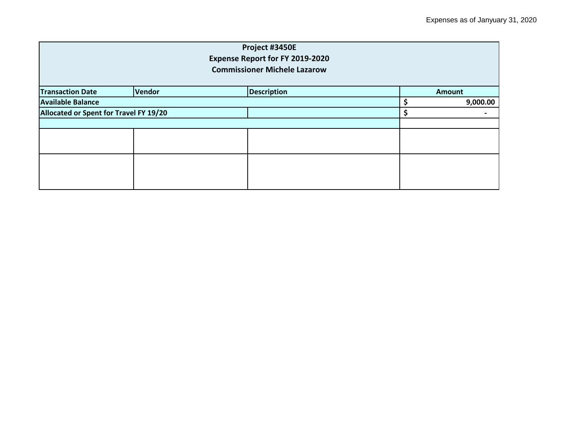| Project #3450E<br><b>Expense Report for FY 2019-2020</b><br><b>Commissioner Michele Lazarow</b> |        |                    |  |               |  |
|-------------------------------------------------------------------------------------------------|--------|--------------------|--|---------------|--|
| <b>Transaction Date</b>                                                                         | Vendor | <b>Description</b> |  | <b>Amount</b> |  |
| <b>Available Balance</b>                                                                        |        |                    |  | 9,000.00      |  |
| Allocated or Spent for Travel FY 19/20                                                          |        |                    |  | -             |  |
|                                                                                                 |        |                    |  |               |  |
|                                                                                                 |        |                    |  |               |  |
|                                                                                                 |        |                    |  |               |  |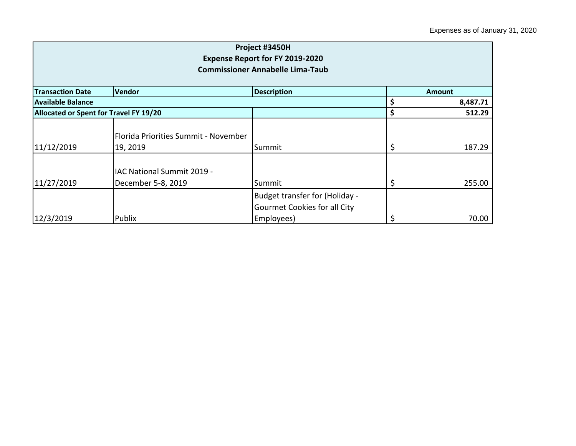| Project #3450H<br><b>Expense Report for FY 2019-2020</b><br><b>Commissioner Annabelle Lima-Taub</b> |                                                  |                                                                              |               |          |
|-----------------------------------------------------------------------------------------------------|--------------------------------------------------|------------------------------------------------------------------------------|---------------|----------|
| <b>Transaction Date</b>                                                                             | Vendor                                           | <b>Description</b>                                                           | <b>Amount</b> |          |
| Available Balance                                                                                   |                                                  |                                                                              | \$            | 8,487.71 |
| Allocated or Spent for Travel FY 19/20                                                              |                                                  |                                                                              | \$            | 512.29   |
| 11/12/2019                                                                                          | Florida Priorities Summit - November<br>19, 2019 | Summit                                                                       | \$            | 187.29   |
| 11/27/2019                                                                                          | IAC National Summit 2019 -<br>December 5-8, 2019 | Summit                                                                       | \$            | 255.00   |
| 12/3/2019                                                                                           | Publix                                           | Budget transfer for (Holiday -<br>Gourmet Cookies for all City<br>Employees) | \$            | 70.00    |